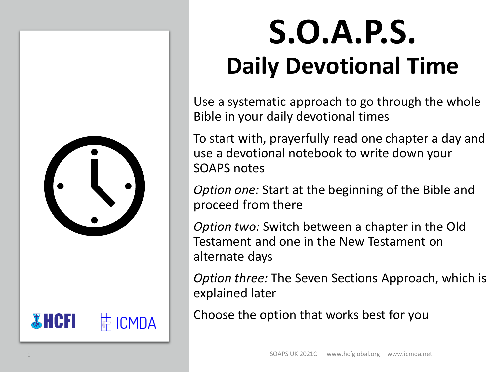

 $\frac{1}{2}$ HCFI  **ICMDA** 

# **S.O.A.P.S. Daily Devotional Time**

Use a systematic approach to go through the whole Bible in your daily devotional times

To start with, prayerfully read one chapter a day and use a devotional notebook to write down your SOAPS notes

*Option one:* Start at the beginning of the Bible and proceed from there

*Option two:* Switch between a chapter in the Old Testament and one in the New Testament on alternate days

*Option three:* The Seven Sections Approach, which is explained later

Choose the option that works best for you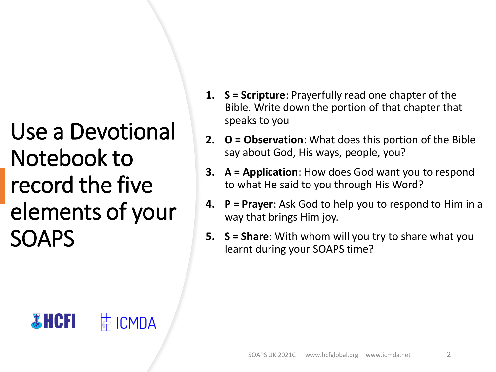Use a Devotional Notebook to record the five elements of your SOAPS

 **H** ICMDA

**WHCFI** 

- **1. S = Scripture**: Prayerfully read one chapter of the Bible. Write down the portion of that chapter that speaks to you
- **2. O = Observation**: What does this portion of the Bible say about God, His ways, people, you?
- **3. A = Application**: How does God want you to respond to what He said to you through His Word?
- **4. P = Prayer**: Ask God to help you to respond to Him in a way that brings Him joy.
- **5. S = Share**: With whom will you try to share what you learnt during your SOAPS time?

#### SOAPS UK 2021C www.hcfglobal.org www.icmda.net 2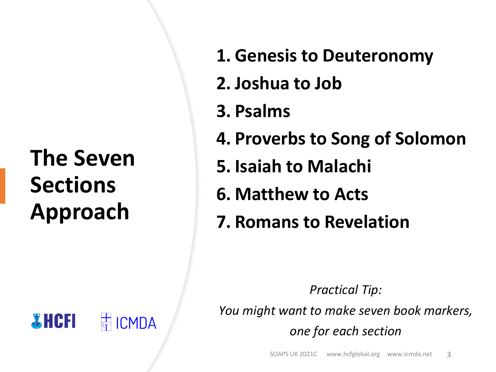## **The Seven Sections Approach**

**FICMDA** 

**WHCFI** 

- **1. Genesis to Deuteronomy**
- **2. Joshua to Job**
- **3. Psalms**
- **4. Proverbs to Song of Solomon**
- **5. Isaiah to Malachi**
- **6. Matthew to Acts**
- **7. Romans to Revelation**

*Practical Tip:*

*You might want to make seven book markers,* 

*one for each section*